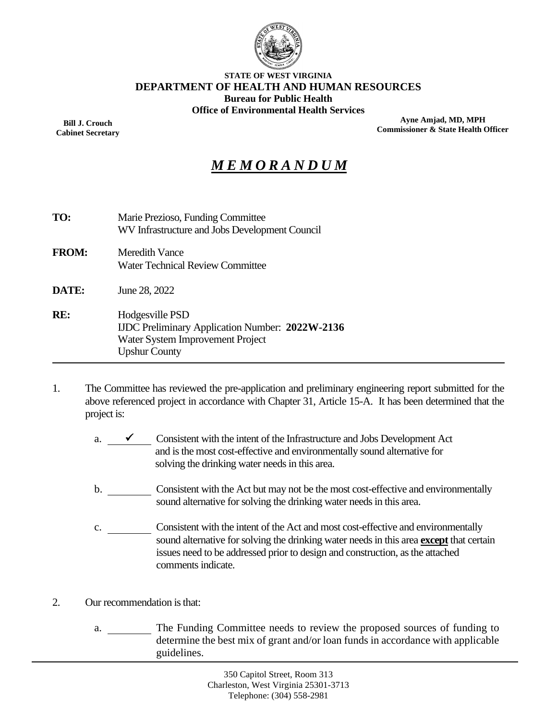

#### **STATE OF WEST VIRGINIA DEPARTMENT OF HEALTH AND HUMAN RESOURCES Bureau for Public Health Office of Environmental Health Services**

**Bill J. Crouch Cabinet Secretary**

**Ayne Amjad, MD, MPH Commissioner & State Health Officer**

# *M E M O R A N D U M*

| TO:          | Marie Prezioso, Funding Committee<br>WV Infrastructure and Jobs Development Council                                                   |
|--------------|---------------------------------------------------------------------------------------------------------------------------------------|
| <b>FROM:</b> | Meredith Vance $\mathcal{W}$ V<br><b>Water Technical Review Committee</b>                                                             |
| <b>DATE:</b> | June 28, 2022                                                                                                                         |
| RE:          | Hodgesville PSD<br><b>IJDC</b> Preliminary Application Number: 2022W-2136<br>Water System Improvement Project<br><b>Upshur County</b> |

- 1. The Committee has reviewed the pre-application and preliminary engineering report submitted for the above referenced project in accordance with Chapter 31, Article 15-A. It has been determined that the project is:
	- a.  $\checkmark$  Consistent with the intent of the Infrastructure and Jobs Development Act and is the most cost-effective and environmentally sound alternative for solving the drinking water needs in this area.
	- b. Consistent with the Act but may not be the most cost-effective and environmentally sound alternative for solving the drinking water needs in this area.
	- c. Consistent with the intent of the Act and most cost-effective and environmentally sound alternative for solving the drinking water needs in this area **except** that certain issues need to be addressed prior to design and construction, as the attached comments indicate.
- 2. Our recommendation is that:
	- a. \_\_\_\_\_\_\_\_\_ The Funding Committee needs to review the proposed sources of funding to determine the best mix of grant and/or loan funds in accordance with applicable guidelines.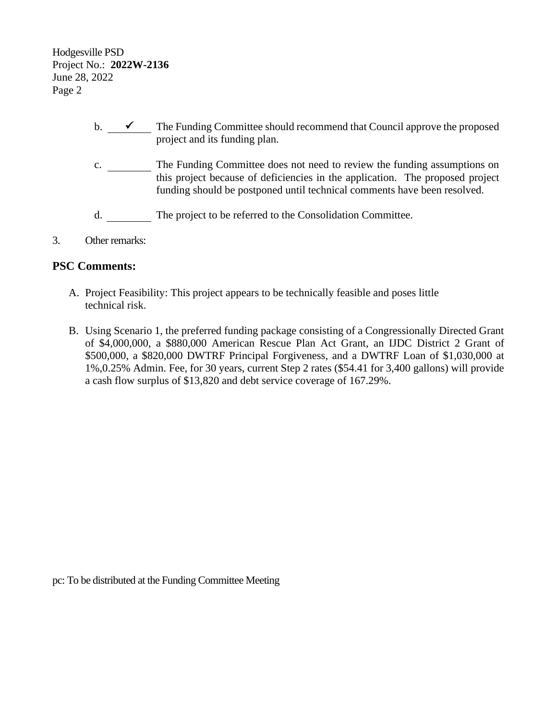Hodgesville PSD Project No.: **2022W-2136** June 28, 2022 Page 2

- b.  $\checkmark$  The Funding Committee should recommend that Council approve the proposed project and its funding plan.
- c. \_\_\_\_\_\_\_\_\_ The Funding Committee does not need to review the funding assumptions on this project because of deficiencies in the application. The proposed project funding should be postponed until technical comments have been resolved.
- d. The project to be referred to the Consolidation Committee.
- 3. Other remarks:

### **PSC Comments:**

- A. Project Feasibility: This project appears to be technically feasible and poses little technical risk.
- B. Using Scenario 1, the preferred funding package consisting of a Congressionally Directed Grant of \$4,000,000, a \$880,000 American Rescue Plan Act Grant, an IJDC District 2 Grant of \$500,000, a \$820,000 DWTRF Principal Forgiveness, and a DWTRF Loan of \$1,030,000 at 1%,0.25% Admin. Fee, for 30 years, current Step 2 rates (\$54.41 for 3,400 gallons) will provide a cash flow surplus of \$13,820 and debt service coverage of 167.29%.

pc: To be distributed at the Funding Committee Meeting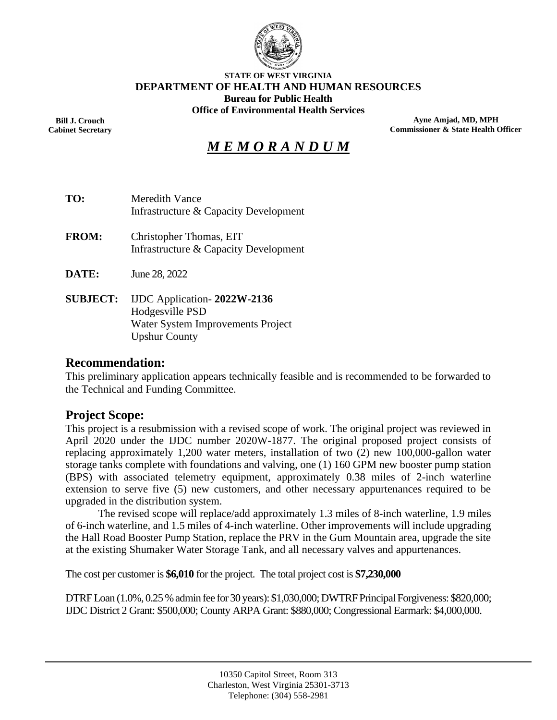

#### **STATE OF WEST VIRGINIA DEPARTMENT OF HEALTH AND HUMAN RESOURCES Bureau for Public Health Office of Environmental Health Services**

**Bill J. Crouch Cabinet Secretary**

**Ayne Amjad, MD, MPH Commissioner & State Health Officer**

# *M E M O R A N D U M*

- **TO:** Meredith Vance Infrastructure & Capacity Development
- **FROM:** Christopher Thomas, EIT Infrastructure & Capacity Development
- **DATE:** June 28, 2022
- **SUBJECT:** IJDC Application- **2022W-2136** Hodgesville PSD Water System Improvements Project Upshur County

#### **Recommendation:**

This preliminary application appears technically feasible and is recommended to be forwarded to the Technical and Funding Committee.

### **Project Scope:**

This project is a resubmission with a revised scope of work. The original project was reviewed in April 2020 under the IJDC number 2020W-1877. The original proposed project consists of replacing approximately 1,200 water meters, installation of two (2) new 100,000-gallon water storage tanks complete with foundations and valving, one (1) 160 GPM new booster pump station (BPS) with associated telemetry equipment, approximately 0.38 miles of 2-inch waterline extension to serve five (5) new customers, and other necessary appurtenances required to be upgraded in the distribution system.

The revised scope will replace/add approximately 1.3 miles of 8-inch waterline, 1.9 miles of 6-inch waterline, and 1.5 miles of 4-inch waterline. Other improvements will include upgrading the Hall Road Booster Pump Station, replace the PRV in the Gum Mountain area, upgrade the site at the existing Shumaker Water Storage Tank, and all necessary valves and appurtenances.

The cost per customer is **\$6,010** for the project. The total project cost is **\$7,230,000**

DTRF Loan (1.0%, 0.25 % admin fee for 30 years): \$1,030,000; DWTRF Principal Forgiveness: \$820,000; IJDC District 2 Grant: \$500,000; County ARPA Grant: \$880,000; Congressional Earmark: \$4,000,000.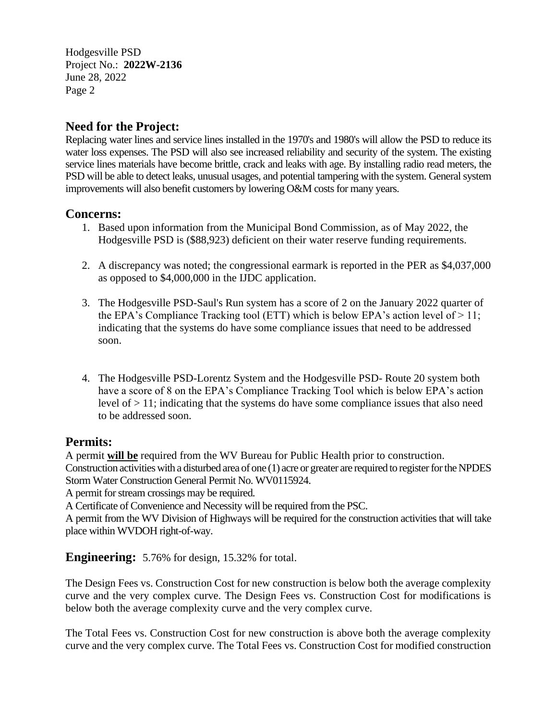Hodgesville PSD Project No.: **2022W-2136** June 28, 2022 Page 2

### **Need for the Project:**

Replacing water lines and service lines installed in the 1970's and 1980's will allow the PSD to reduce its water loss expenses. The PSD will also see increased reliability and security of the system. The existing service lines materials have become brittle, crack and leaks with age. By installing radio read meters, the PSD will be able to detect leaks, unusual usages, and potential tampering with the system. General system improvements will also benefit customers by lowering O&M costs for many years.

### **Concerns:**

- 1. Based upon information from the Municipal Bond Commission, as of May 2022, the Hodgesville PSD is (\$88,923) deficient on their water reserve funding requirements.
- 2. A discrepancy was noted; the congressional earmark is reported in the PER as \$4,037,000 as opposed to \$4,000,000 in the IJDC application.
- 3. The Hodgesville PSD-Saul's Run system has a score of 2 on the January 2022 quarter of the EPA's Compliance Tracking tool (ETT) which is below EPA's action level of  $> 11$ ; indicating that the systems do have some compliance issues that need to be addressed soon.
- 4. The Hodgesville PSD-Lorentz System and the Hodgesville PSD- Route 20 system both have a score of 8 on the EPA's Compliance Tracking Tool which is below EPA's action level of  $> 11$ ; indicating that the systems do have some compliance issues that also need to be addressed soon.

### **Permits:**

A permit **will be** required from the WV Bureau for Public Health prior to construction. Construction activities with a disturbed area of one (1) acre or greater are required to register for the NPDES Storm Water Construction General Permit No. WV0115924.

A permit for stream crossings may be required.

A Certificate of Convenience and Necessity will be required from the PSC.

A permit from the WV Division of Highways will be required for the construction activities that will take place within WVDOH right-of-way.

**Engineering:** 5.76% for design, 15.32% for total.

The Design Fees vs. Construction Cost for new construction is below both the average complexity curve and the very complex curve. The Design Fees vs. Construction Cost for modifications is below both the average complexity curve and the very complex curve.

The Total Fees vs. Construction Cost for new construction is above both the average complexity curve and the very complex curve. The Total Fees vs. Construction Cost for modified construction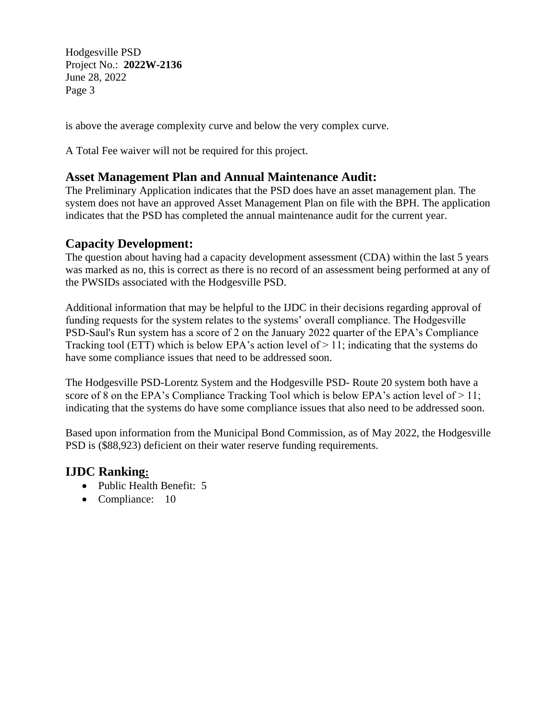Hodgesville PSD Project No.: **2022W-2136** June 28, 2022 Page 3

is above the average complexity curve and below the very complex curve.

A Total Fee waiver will not be required for this project.

### **Asset Management Plan and Annual Maintenance Audit:**

The Preliminary Application indicates that the PSD does have an asset management plan. The system does not have an approved Asset Management Plan on file with the BPH. The application indicates that the PSD has completed the annual maintenance audit for the current year.

### **Capacity Development:**

The question about having had a capacity development assessment (CDA) within the last 5 years was marked as no, this is correct as there is no record of an assessment being performed at any of the PWSIDs associated with the Hodgesville PSD.

Additional information that may be helpful to the IJDC in their decisions regarding approval of funding requests for the system relates to the systems' overall compliance. The Hodgesville PSD-Saul's Run system has a score of 2 on the January 2022 quarter of the EPA's Compliance Tracking tool (ETT) which is below EPA's action level of  $> 11$ ; indicating that the systems do have some compliance issues that need to be addressed soon.

The Hodgesville PSD-Lorentz System and the Hodgesville PSD- Route 20 system both have a score of 8 on the EPA's Compliance Tracking Tool which is below EPA's action level of  $> 11$ ; indicating that the systems do have some compliance issues that also need to be addressed soon.

Based upon information from the Municipal Bond Commission, as of May 2022, the Hodgesville PSD is (\$88,923) deficient on their water reserve funding requirements.

### **IJDC Ranking:**

- Public Health Benefit: 5
- Compliance: 10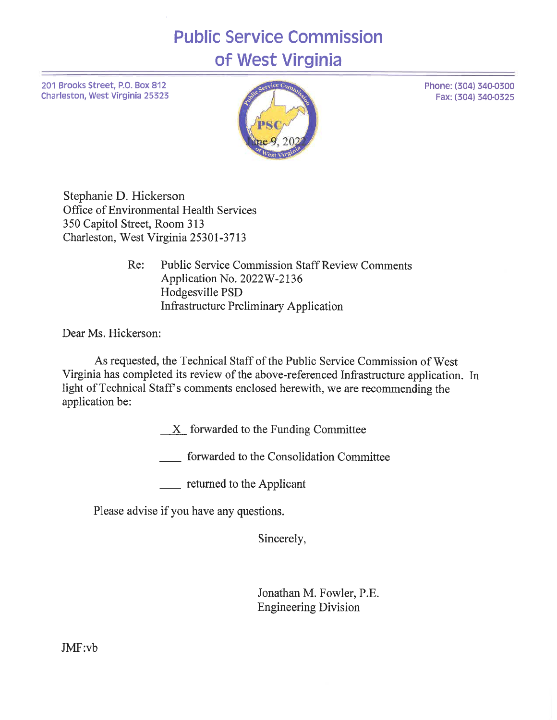# **Public Service Commission** of West Virginia

201 Brooks Street, P.O. Box 812 Charleston, West Virginia 25323



Stephanie D. Hickerson Office of Environmental Health Services 350 Capitol Street, Room 313 Charleston, West Virginia 25301-3713

> **Public Service Commission Staff Review Comments** Re: Application No. 2022W-2136 Hodgesville PSD **Infrastructure Preliminary Application**

Dear Ms. Hickerson:

As requested, the Technical Staff of the Public Service Commission of West Virginia has completed its review of the above-referenced Infrastructure application. In light of Technical Staff's comments enclosed herewith, we are recommending the application be:

 $X$  forwarded to the Funding Committee

\_\_\_\_ forwarded to the Consolidation Committee

\_\_\_\_ returned to the Applicant

Please advise if you have any questions.

Sincerely,

Jonathan M. Fowler, P.E. **Engineering Division** 

JMF:vb

Phone: (304) 340-0300 Fax: (304) 340-0325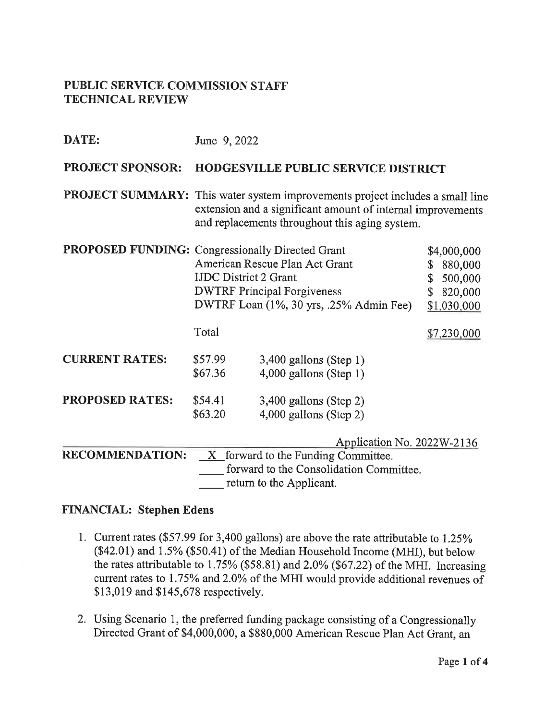### PUBLIC SERVICE COMMISSION STAFF **TECHNICAL REVIEW**

| DATE:                                            | June 9, 2022                                                                                                                                                                                   |                                                                                                                 |                                                                                       |  |  |  |  |  |  |
|--------------------------------------------------|------------------------------------------------------------------------------------------------------------------------------------------------------------------------------------------------|-----------------------------------------------------------------------------------------------------------------|---------------------------------------------------------------------------------------|--|--|--|--|--|--|
| <b>PROJECT SPONSOR:</b>                          | HODGESVILLE PUBLIC SERVICE DISTRICT                                                                                                                                                            |                                                                                                                 |                                                                                       |  |  |  |  |  |  |
|                                                  | PROJECT SUMMARY: This water system improvements project includes a small line<br>extension and a significant amount of internal improvements<br>and replacements throughout this aging system. |                                                                                                                 |                                                                                       |  |  |  |  |  |  |
| PROPOSED FUNDING: Congressionally Directed Grant | <b>IJDC</b> District 2 Grant                                                                                                                                                                   | American Rescue Plan Act Grant<br><b>DWTRF Principal Forgiveness</b><br>DWTRF Loan (1%, 30 yrs, .25% Admin Fee) | \$4,000,000<br>880,000<br>\$<br>500,000<br>S<br>820,000<br>$\mathbb S$<br>\$1,030,000 |  |  |  |  |  |  |
|                                                  | Total                                                                                                                                                                                          |                                                                                                                 | \$7,230,000                                                                           |  |  |  |  |  |  |
| <b>CURRENT RATES:</b>                            | \$57.99<br>\$67.36                                                                                                                                                                             | $3,400$ gallons (Step 1)<br>$4,000$ gallons (Step 1)                                                            |                                                                                       |  |  |  |  |  |  |
| <b>PROPOSED RATES:</b>                           | \$54.41<br>\$63.20                                                                                                                                                                             |                                                                                                                 |                                                                                       |  |  |  |  |  |  |
| <b>RECOMMENDATION:</b>                           | Application No. 2022W-2136<br>$X$ forward to the Funding Committee.<br>forward to the Consolidation Committee.<br>return to the Applicant.                                                     |                                                                                                                 |                                                                                       |  |  |  |  |  |  |

### **FINANCIAL: Stephen Edens**

- 1. Current rates (\$57.99 for 3,400 gallons) are above the rate attributable to 1.25% (\$42.01) and 1.5% (\$50.41) of the Median Household Income (MHI), but below the rates attributable to 1.75% (\$58.81) and 2.0% (\$67.22) of the MHI. Increasing current rates to 1.75% and 2.0% of the MHI would provide additional revenues of \$13,019 and \$145,678 respectively.
- 2. Using Scenario 1, the preferred funding package consisting of a Congressionally Directed Grant of \$4,000,000, a \$880,000 American Rescue Plan Act Grant, an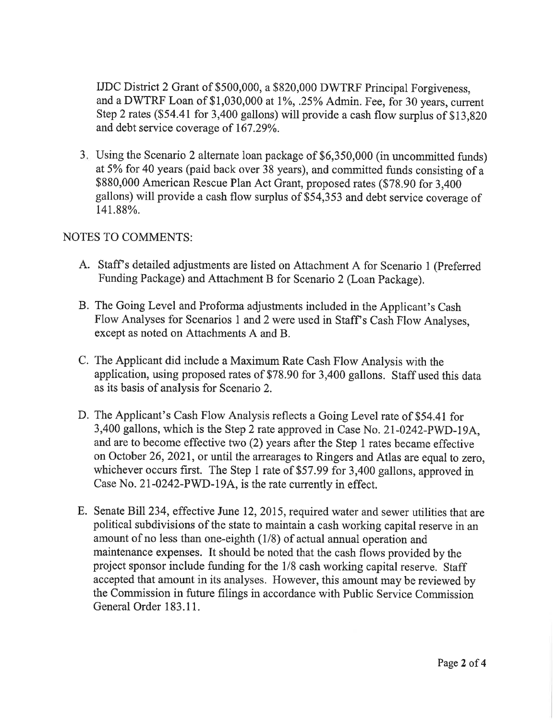IJDC District 2 Grant of \$500,000, a \$820,000 DWTRF Principal Forgiveness, and a DWTRF Loan of \$1,030,000 at 1%, .25% Admin. Fee, for 30 years, current Step 2 rates (\$54.41 for 3,400 gallons) will provide a cash flow surplus of \$13,820 and debt service coverage of 167.29%.

3. Using the Scenario 2 alternate loan package of \$6,350,000 (in uncommitted funds) at 5% for 40 years (paid back over 38 years), and committed funds consisting of a \$880,000 American Rescue Plan Act Grant, proposed rates (\$78.90 for 3,400 gallons) will provide a cash flow surplus of \$54,353 and debt service coverage of 141.88%.

### **NOTES TO COMMENTS:**

- A. Staff's detailed adjustments are listed on Attachment A for Scenario 1 (Preferred Funding Package) and Attachment B for Scenario 2 (Loan Package).
- B. The Going Level and Proforma adjustments included in the Applicant's Cash Flow Analyses for Scenarios 1 and 2 were used in Staff's Cash Flow Analyses, except as noted on Attachments A and B.
- C. The Applicant did include a Maximum Rate Cash Flow Analysis with the application, using proposed rates of \$78.90 for 3,400 gallons. Staff used this data as its basis of analysis for Scenario 2.
- D. The Applicant's Cash Flow Analysis reflects a Going Level rate of \$54.41 for 3,400 gallons, which is the Step 2 rate approved in Case No. 21-0242-PWD-19A. and are to become effective two (2) years after the Step 1 rates became effective on October 26, 2021, or until the arrearages to Ringers and Atlas are equal to zero. whichever occurs first. The Step 1 rate of \$57.99 for 3,400 gallons, approved in Case No. 21-0242-PWD-19A, is the rate currently in effect.
- E. Senate Bill 234, effective June 12, 2015, required water and sewer utilities that are political subdivisions of the state to maintain a cash working capital reserve in an amount of no less than one-eighth (1/8) of actual annual operation and maintenance expenses. It should be noted that the cash flows provided by the project sponsor include funding for the 1/8 cash working capital reserve. Staff accepted that amount in its analyses. However, this amount may be reviewed by the Commission in future filings in accordance with Public Service Commission General Order 183.11.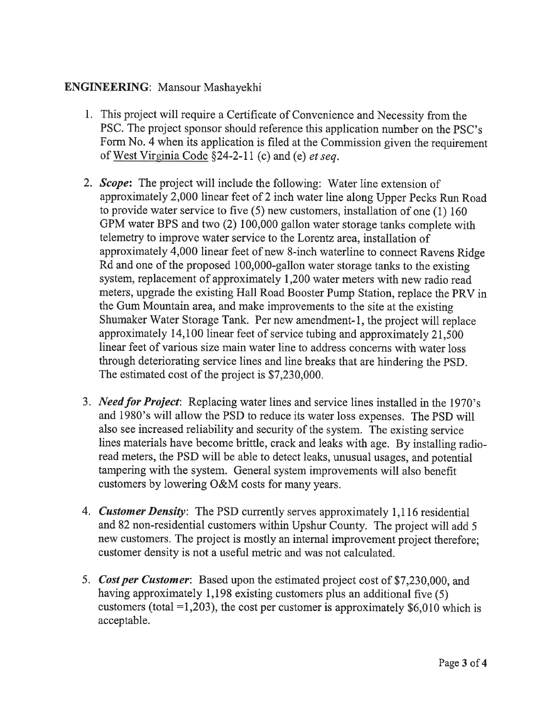### **ENGINEERING:** Mansour Mashayekhi

- 1. This project will require a Certificate of Convenience and Necessity from the PSC. The project sponsor should reference this application number on the PSC's Form No. 4 when its application is filed at the Commission given the requirement of West Virginia Code §24-2-11 (c) and (e) *et seq.*
- 2. Scope: The project will include the following: Water line extension of approximately 2,000 linear feet of 2 inch water line along Upper Pecks Run Road to provide water service to five  $(5)$  new customers, installation of one  $(1)$  160 GPM water BPS and two (2) 100,000 gallon water storage tanks complete with telemetry to improve water service to the Lorentz area, installation of approximately 4,000 linear feet of new 8-inch waterline to connect Ravens Ridge Rd and one of the proposed 100,000-gallon water storage tanks to the existing system, replacement of approximately 1,200 water meters with new radio read meters, upgrade the existing Hall Road Booster Pump Station, replace the PRV in the Gum Mountain area, and make improvements to the site at the existing Shumaker Water Storage Tank. Per new amendment-1, the project will replace approximately 14,100 linear feet of service tubing and approximately 21,500 linear feet of various size main water line to address concerns with water loss through deteriorating service lines and line breaks that are hindering the PSD. The estimated cost of the project is \$7,230,000.
- 3. *Need for Project*: Replacing water lines and service lines installed in the 1970's and 1980's will allow the PSD to reduce its water loss expenses. The PSD will also see increased reliability and security of the system. The existing service lines materials have become brittle, crack and leaks with age. By installing radioread meters, the PSD will be able to detect leaks, unusual usages, and potential tampering with the system. General system improvements will also benefit customers by lowering O&M costs for many years.
- 4. Customer Density: The PSD currently serves approximately 1,116 residential and 82 non-residential customers within Upshur County. The project will add 5 new customers. The project is mostly an internal improvement project therefore; customer density is not a useful metric and was not calculated.
- 5. Cost per Customer: Based upon the estimated project cost of \$7,230,000, and having approximately 1,198 existing customers plus an additional five (5) customers (total =1,203), the cost per customer is approximately  $$6,010$  which is acceptable.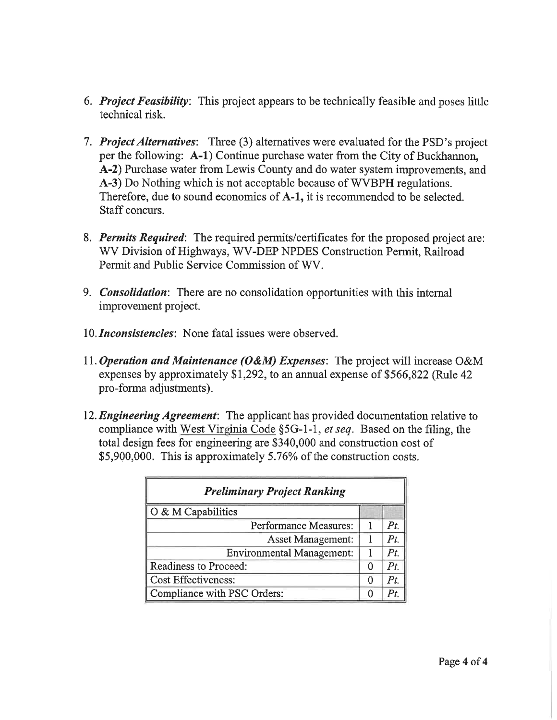- 6. *Project Feasibility*: This project appears to be technically feasible and poses little technical risk.
- 7. Project Alternatives: Three (3) alternatives were evaluated for the PSD's project per the following: A-1) Continue purchase water from the City of Buckhannon. A-2) Purchase water from Lewis County and do water system improvements, and A-3) Do Nothing which is not acceptable because of WVBPH regulations. Therefore, due to sound economics of A-1, it is recommended to be selected. Staff concurs.
- 8. Permits Required: The required permits/certificates for the proposed project are: WV Division of Highways, WV-DEP NPDES Construction Permit, Railroad Permit and Public Service Commission of WV.
- 9. *Consolidation*: There are no consolidation opportunities with this internal improvement project.
- 10. *Inconsistencies*: None fatal issues were observed.
- 11. Operation and Maintenance (O&M) Expenses: The project will increase O&M expenses by approximately \$1,292, to an annual expense of \$566,822 (Rule 42) pro-forma adjustments).
- 12. Engineering Agreement: The applicant has provided documentation relative to compliance with West Virginia Code §5G-1-1, et seq. Based on the filing, the total design fees for engineering are \$340,000 and construction cost of \$5,900,000. This is approximately 5.76% of the construction costs.

| <b>Preliminary Project Ranking</b> |  |             |  |  |  |
|------------------------------------|--|-------------|--|--|--|
| O & M Capabilities                 |  |             |  |  |  |
| Performance Measures:              |  | $P_{\it t}$ |  |  |  |
| <b>Asset Management:</b>           |  | $P_{t}$     |  |  |  |
| <b>Environmental Management:</b>   |  | Pt          |  |  |  |
| Readiness to Proceed:              |  | $P_{t}$     |  |  |  |
| <b>Cost Effectiveness:</b>         |  | Pt          |  |  |  |
| Compliance with PSC Orders:        |  |             |  |  |  |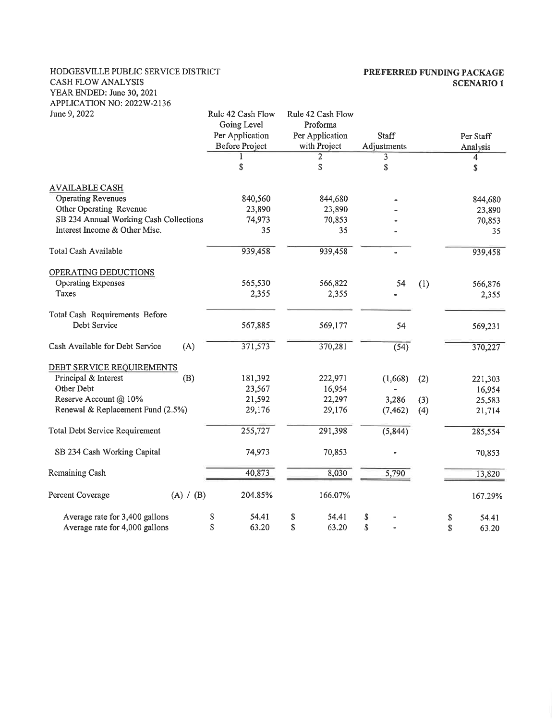#### HODGESVILLE PUBLIC SERVICE DISTRICT CASH FLOW ANALYSIS YEAR ENDED: June 30, 2021 APPLICATION NO: 2022W-2136

#### PREFERRED FUNDING PACKAGE **SCENARIO 1**

| June 9, 2022                           |                  | Rule 42 Cash Flow<br>Going Level | Rule 42 Cash Flow<br>Proforma |              |     |             |
|----------------------------------------|------------------|----------------------------------|-------------------------------|--------------|-----|-------------|
|                                        |                  | Per Application                  | Per Application               | <b>Staff</b> |     | Per Staff   |
|                                        |                  | <b>Before Project</b>            | with Project                  | Adjustments  |     | Analysis    |
|                                        |                  |                                  | 2                             | 3            |     | 4           |
|                                        |                  | \$                               | \$                            | \$           |     | \$          |
| <b>AVAILABLE CASH</b>                  |                  |                                  |                               |              |     |             |
| <b>Operating Revenues</b>              |                  | 840,560                          | 844,680                       |              |     | 844,680     |
| Other Operating Revenue                |                  | 23,890                           | 23,890                        |              |     | 23,890      |
| SB 234 Annual Working Cash Collections | 74,973<br>70,853 |                                  |                               | 70,853       |     |             |
| Interest Income & Other Misc.          |                  | 35                               | 35                            |              |     | 35          |
| Total Cash Available                   |                  | 939,458                          | 939,458                       |              |     | 939,458     |
| OPERATING DEDUCTIONS                   |                  |                                  |                               |              |     |             |
| <b>Operating Expenses</b>              |                  | 565,530                          | 566,822                       | 54           | (1) | 566,876     |
| Taxes                                  |                  | 2,355                            | 2,355                         |              |     | 2,355       |
| Total Cash Requirements Before         |                  |                                  |                               |              |     |             |
| Debt Service                           |                  | 567,885                          | 569,177                       | 54           |     | 569,231     |
| Cash Available for Debt Service<br>(A) |                  | 371,573                          | 370,281                       | (54)         |     | 370,227     |
| DEBT SERVICE REQUIREMENTS              |                  |                                  |                               |              |     |             |
| Principal & Interest<br>(B)            |                  | 181,392                          | 222,971                       | (1,668)      | (2) | 221,303     |
| Other Debt                             |                  | 23,567                           | 16,954                        |              |     | 16,954      |
| Reserve Account @ 10%                  |                  | 21,592                           | 22,297                        | 3,286        | (3) | 25,583      |
| Renewal & Replacement Fund (2.5%)      |                  | 29,176                           | 29,176                        | (7, 462)     | (4) | 21,714      |
| <b>Total Debt Service Requirement</b>  |                  | 255,727                          | 291,398                       | (5, 844)     |     | 285,554     |
| SB 234 Cash Working Capital            |                  | 74,973                           | 70,853                        |              |     | 70,853      |
| Remaining Cash                         |                  | 40,873                           | 8,030                         | 5,790        |     | 13,820      |
|                                        |                  |                                  |                               |              |     |             |
| Percent Coverage<br>(A) / (B)          |                  | 204.85%                          | 166.07%                       |              |     | 167.29%     |
| Average rate for 3,400 gallons         | \$               | 54.41                            | \$<br>54.41                   | \$           |     | \$<br>54.41 |
| Average rate for 4,000 gallons         | \$               | 63.20                            | \$<br>63.20                   | \$           |     | \$<br>63.20 |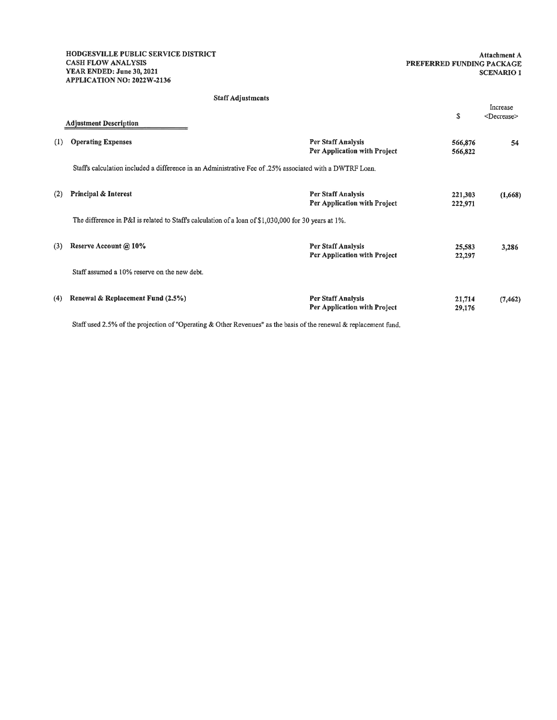#### Attachment A PREFERRED FUNDING PACKAGE **SCENARIO 1**

#### **Staff Adjustments**

|     | <b>Adjustment Description</b>                                                                            |                                                    | \$                 | Increase<br><decrease></decrease> |
|-----|----------------------------------------------------------------------------------------------------------|----------------------------------------------------|--------------------|-----------------------------------|
| (1) | <b>Operating Expenses</b>                                                                                | Per Staff Analysis<br>Per Application with Project | 566,876<br>566,822 | 54                                |
|     | Staff's calculation included a difference in an Administrative Fee of .25% associated with a DWTRF Loan. |                                                    |                    |                                   |
| (2) | <b>Principal &amp; Interest</b>                                                                          | Per Staff Analysis<br>Per Application with Project | 221,303<br>222,971 | (1,668)                           |
|     | The difference in P&I is related to Staff's calculation of a loan of \$1,030,000 for 30 years at 1%.     |                                                    |                    |                                   |
| (3) | Reserve Account @ 10%                                                                                    | Per Staff Analysis<br>Per Application with Project | 25,583<br>22,297   | 3,286                             |
|     | Staff assumed a 10% reserve on the new debt.                                                             |                                                    |                    |                                   |
| (4) | Renewal & Replacement Fund (2.5%)                                                                        | Per Staff Analysis<br>Per Application with Project | 21,714<br>29,176   | (7, 462)                          |

Staff used 2.5% of the projection of "Operating & Other Revenues" as the basis of the renewal & replacement fund.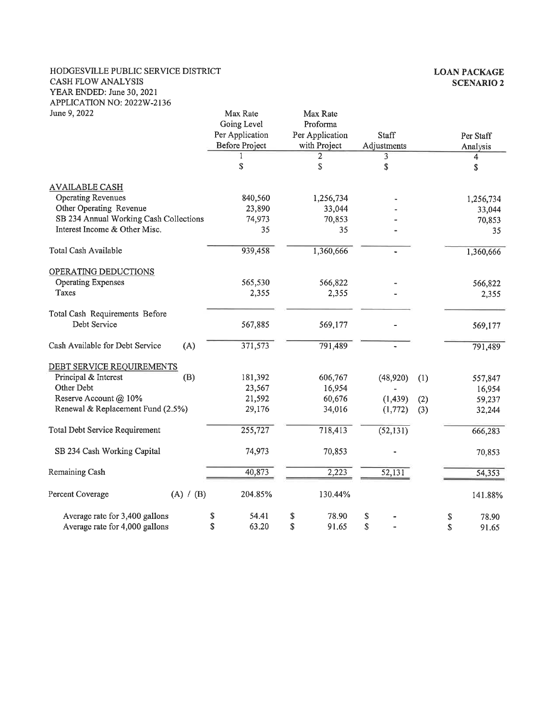#### HODGESVILLE PUBLIC SERVICE DISTRICT CASH FLOW ANALYSIS YEAR ENDED: June 30, 2021 APPLICATION NO: 2022W-2136 Iune 9 2022

| June 9, 2022                           | Max Rate<br>Going Level | Max Rate<br>Proforma |             |     |             |
|----------------------------------------|-------------------------|----------------------|-------------|-----|-------------|
|                                        | Per Application         | Per Application      | Staff       |     | Per Staff   |
|                                        | Before Project          | with Project         | Adjustments |     | Analysis    |
|                                        |                         | 2                    | 3           |     | 4           |
|                                        | \$                      | \$                   | \$          |     | \$          |
| <b>AVAILABLE CASH</b>                  |                         |                      |             |     |             |
| <b>Operating Revenues</b>              | 840,560                 | 1,256,734            |             |     | 1,256,734   |
| Other Operating Revenue                | 23,890                  | 33,044               |             |     | 33,044      |
| SB 234 Annual Working Cash Collections | 74,973                  | 70,853               |             |     | 70,853      |
| Interest Income & Other Misc.          | 35                      | 35                   |             |     | 35          |
| Total Cash Available                   | 939,458                 | 1,360,666            |             |     | 1,360,666   |
| OPERATING DEDUCTIONS                   |                         |                      |             |     |             |
| <b>Operating Expenses</b>              | 565,530                 | 566,822              |             |     | 566,822     |
| Taxes                                  | 2,355                   | 2,355                |             |     | 2,355       |
| Total Cash Requirements Before         |                         |                      |             |     |             |
| Debt Service                           | 567,885                 | 569,177              |             |     | 569,177     |
| Cash Available for Debt Service<br>(A) | 371,573                 | 791,489              |             |     | 791,489     |
| DEBT SERVICE REQUIREMENTS              |                         |                      |             |     |             |
| Principal & Interest<br>(B)            | 181,392                 | 606,767              | (48,920)    | (1) | 557,847     |
| Other Debt                             | 23,567                  | 16,954               |             |     | 16,954      |
| Reserve Account @ 10%                  | 21,592                  | 60,676               | (1, 439)    | (2) | 59,237      |
| Renewal & Replacement Fund (2.5%)      | 29,176                  | 34,016               | (1,772)     | (3) | 32,244      |
| Total Debt Service Requirement         | 255,727                 | 718,413              | (52, 131)   |     | 666,283     |
| SB 234 Cash Working Capital            | 74,973                  | 70,853               |             |     | 70,853      |
| Remaining Cash                         | 40,873                  | 2,223                | 52,131      |     | 54,353      |
| Percent Coverage<br>(A) / (B)          | 204.85%                 | 130.44%              |             |     | 141.88%     |
| Average rate for 3,400 gallons         | 54.41<br>\$             | 78.90<br>\$          | \$          |     | 78.90<br>\$ |
| Average rate for 4,000 gallons         | \$<br>63.20             | \$<br>91.65          | \$          |     | \$<br>91.65 |

#### **LOAN PACKAGE SCENARIO 2**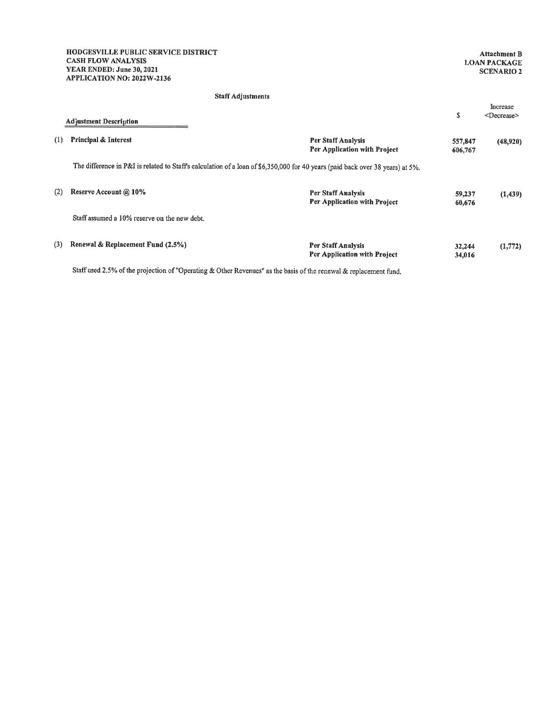#### Staff Adjustments

|     | <b>Adjustment Description</b>                                                                                                  |                                                    | \$                 | Increase<br><decrease></decrease> |
|-----|--------------------------------------------------------------------------------------------------------------------------------|----------------------------------------------------|--------------------|-----------------------------------|
| (1) | <b>Principal &amp; Interest</b>                                                                                                | Per Staff Analysis<br>Per Application with Project | 557,847<br>606,767 | (48,920)                          |
|     | The difference in P&I is related to Staff's calculation of a loan of \$6,350,000 for 40 years (paid back over 38 years) at 5%. |                                                    |                    |                                   |
| (2) | Reserve Account @ 10%                                                                                                          | Per Staff Analysis<br>Per Application with Project | 59,237<br>60,676   | (1, 439)                          |
|     | Staff assumed a 10% reserve on the new debt.                                                                                   |                                                    |                    |                                   |
| (3) | Renewal & Replacement Fund $(2.5\%)$                                                                                           | Per Staff Analysis<br>Per Application with Project | 32,244<br>34,016   | (1,772)                           |

Staff used 2.5% of the projection of "Operating & Other Revenues" as the basis of the renewal & replacement fund.

### Attachment B<br>LOAN PACKAGE **SCENARIO 2**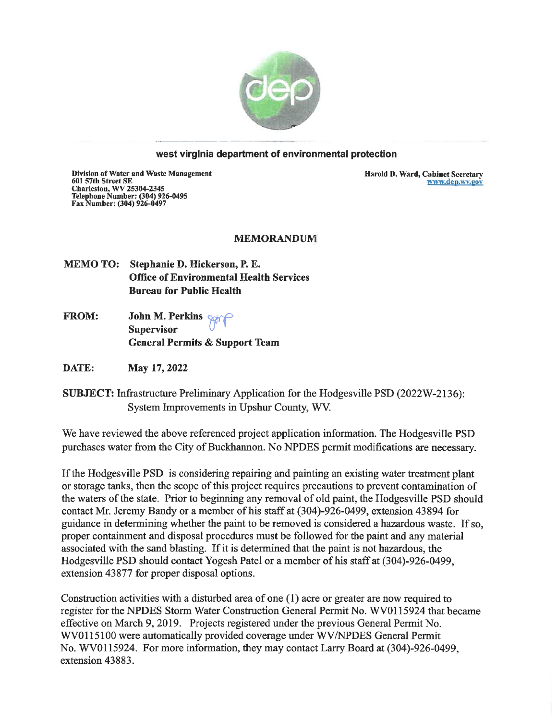

#### west virginia department of environmental protection

Division of Water and Waste Management Division of water and waste Manage<br>601 57th Street SE<br>Charleston, WV 25304-2345<br>Telephone Number: (304) 926-0495<br>Fax Number: (304) 926-0497

Harold D. Ward, Cabinet Secretary www.dep.wv.gov

#### **MEMORANDUM**

MEMO TO: Stephanie D. Hickerson, P. E. **Office of Environmental Health Services Bureau for Public Health** 

John M. Perkins Sping **FROM: Supervisor General Permits & Support Team** 

DATE: May 17, 2022

**SUBJECT:** Infrastructure Preliminary Application for the Hodgesville PSD (2022W-2136): System Improvements in Upshur County, WV.

We have reviewed the above referenced project application information. The Hodgesville PSD purchases water from the City of Buckhannon. No NPDES permit modifications are necessary.

If the Hodgesville PSD is considering repairing and painting an existing water treatment plant or storage tanks, then the scope of this project requires precautions to prevent contamination of the waters of the state. Prior to beginning any removal of old paint, the Hodgesville PSD should contact Mr. Jeremy Bandy or a member of his staff at (304)-926-0499, extension 43894 for guidance in determining whether the paint to be removed is considered a hazardous waste. If so, proper containment and disposal procedures must be followed for the paint and any material associated with the sand blasting. If it is determined that the paint is not hazardous, the Hodges ville PSD should contact Yogesh Patel or a member of his staff at (304)-926-0499. extension 43877 for proper disposal options.

Construction activities with a disturbed area of one (1) acre or greater are now required to register for the NPDES Storm Water Construction General Permit No. WV0115924 that became effective on March 9, 2019. Projects registered under the previous General Permit No. WV0115100 were automatically provided coverage under WV/NPDES General Permit No. WV0115924. For more information, they may contact Larry Board at (304)-926-0499, extension 43883.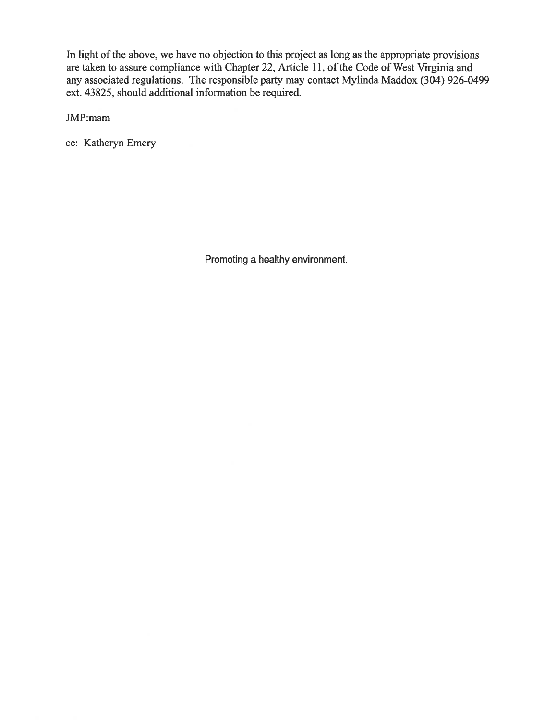In light of the above, we have no objection to this project as long as the appropriate provisions are taken to assure compliance with Chapter 22, Article 11, of the Code of West Virginia and any associated regulations. The responsible party may contact Mylinda Maddox  $(304)$  926-0499 ext. 43825, should additional information be required.

JMP:mam

cc: Katheryn Emery

Promoting a healthy environment.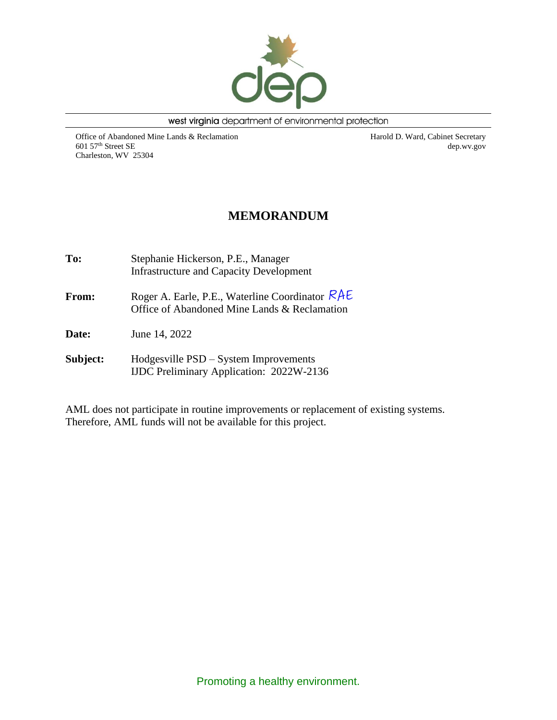

west virginia department of environmental protection

Office of Abandoned Mine Lands & Reclamation 601 57th Street SE Charleston, WV 25304

Harold D. Ward, Cabinet Secretary dep.wv.gov

### **MEMORANDUM**

**To:** Stephanie Hickerson, P.E., Manager Infrastructure and Capacity Development **From:** Roger A. Earle, P.E., Waterline Coordinator RAE Office of Abandoned Mine Lands & Reclamation **Date:** June 14, 2022 **Subject:** Hodgesville PSD – System Improvements IJDC Preliminary Application: 2022W-2136

AML does not participate in routine improvements or replacement of existing systems. Therefore, AML funds will not be available for this project.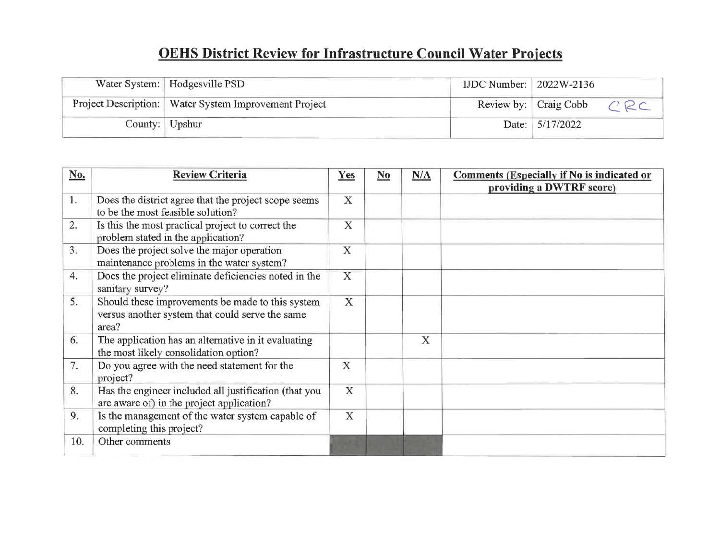# **OEHS District Review for Infrastructure Council Water Projects**

| Water System:   Hodgesville PSD                         | IJDC Number: $2022W-2136$ |                       |
|---------------------------------------------------------|---------------------------|-----------------------|
| Project Description:   Water System Improvement Project |                           | Review by: Craig Cobb |
| County: $ $ Upshur                                      |                           | Date: $5/17/2022$     |

| No. | <b>Review Criteria</b>                                                                                       | Yes                       | $No$ | N/A | <b>Comments (Especially if No is indicated or</b><br>providing a DWTRF score) |
|-----|--------------------------------------------------------------------------------------------------------------|---------------------------|------|-----|-------------------------------------------------------------------------------|
| 1.  | Does the district agree that the project scope seems<br>to be the most feasible solution?                    | X                         |      |     |                                                                               |
| 2.  | Is this the most practical project to correct the<br>problem stated in the application?                      | $\mathbf X$               |      |     |                                                                               |
| 3.  | Does the project solve the major operation<br>maintenance problems in the water system?                      | $\boldsymbol{\mathrm{X}}$ |      |     |                                                                               |
| 4.  | Does the project eliminate deficiencies noted in the<br>sanitary survey?                                     | X                         |      |     |                                                                               |
| 5.  | Should these improvements be made to this system<br>versus another system that could serve the same<br>area? | $\overline{X}$            |      |     |                                                                               |
| 6.  | The application has an alternative in it evaluating<br>the most likely consolidation option?                 |                           |      | X   |                                                                               |
| 7.  | Do you agree with the need statement for the<br>project?                                                     | $\mathbf X$               |      |     |                                                                               |
| 8.  | Has the engineer included all justification (that you<br>are aware of) in the project application?           | X                         |      |     |                                                                               |
| 9.  | Is the management of the water system capable of<br>completing this project?                                 | $\overline{X}$            |      |     |                                                                               |
| 10. | Other comments                                                                                               |                           |      |     |                                                                               |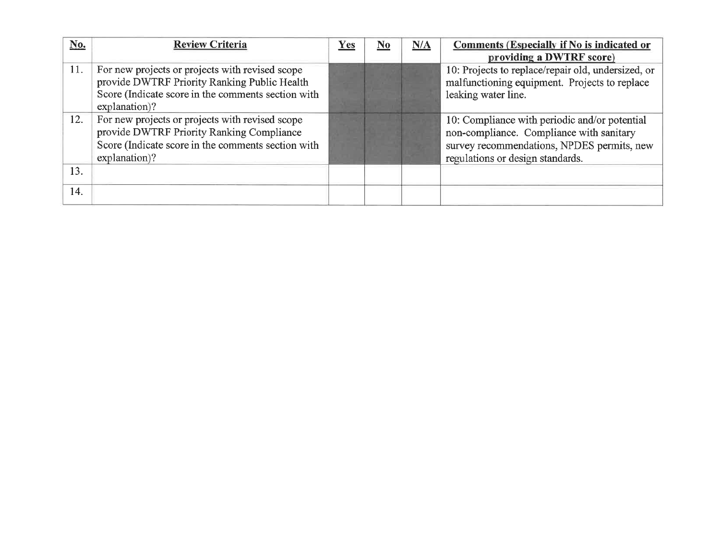| No. | <b>Review Criteria</b>                                                                                                                                                 | Yes | No | N/A | Comments (Especially if No is indicated or<br>providing a DWTRF score)                                                                                                      |
|-----|------------------------------------------------------------------------------------------------------------------------------------------------------------------------|-----|----|-----|-----------------------------------------------------------------------------------------------------------------------------------------------------------------------------|
| 11. | For new projects or projects with revised scope<br>provide DWTRF Priority Ranking Public Health<br>Score (Indicate score in the comments section with<br>explanation)? |     |    |     | 10: Projects to replace/repair old, undersized, or<br>malfunctioning equipment. Projects to replace<br>leaking water line.                                                  |
| 12. | For new projects or projects with revised scope<br>provide DWTRF Priority Ranking Compliance<br>Score (Indicate score in the comments section with<br>explanation)?    |     |    |     | 10: Compliance with periodic and/or potential<br>non-compliance. Compliance with sanitary<br>survey recommendations, NPDES permits, new<br>regulations or design standards. |
| 13. |                                                                                                                                                                        |     |    |     |                                                                                                                                                                             |
| 14. |                                                                                                                                                                        |     |    |     |                                                                                                                                                                             |